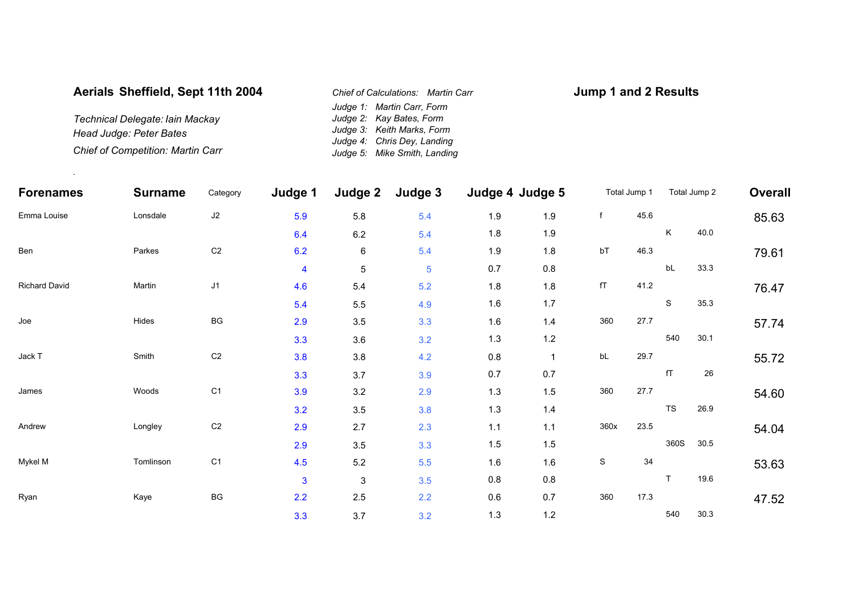## **Aerials Sheffield, Sept 11th 2004**

*Technical Delegate: Iain Mackay Head Judge: Peter Bates Chief of Competition: Martin Carr*

.

*Judge 1: Martin Carr, Form Judge 2: Kay Bates, Form Judge 3: Keith Marks, Form Judge 4: Chris Dey, Landing Judge 5: Mike Smith, Landing Chief of Calculations: Martin Carr*

## **Jump 1 and 2 Results**

| Forenames<br>Emma Louise | <b>Surname</b><br>Lonsdale | Category<br>$\sf J2$   | Judge 1<br>5.9 | Judge 2<br>5.8 | Judge 3<br>5.4 | Judge 4 Judge 5 |         | Total Jump 1 |      | Total Jump 2 |      | Overall |
|--------------------------|----------------------------|------------------------|----------------|----------------|----------------|-----------------|---------|--------------|------|--------------|------|---------|
|                          |                            |                        |                |                |                | 1.9             | 1.9     | f            | 45.6 |              |      | 85.63   |
|                          |                            |                        | 6.4            | 6.2            | 5.4            | 1.8             | 1.9     |              |      | K            | 40.0 |         |
| Ben                      | Parkes                     | C <sub>2</sub>         | 6.2            | 6              | 5.4            | 1.9             | 1.8     | bT           | 46.3 |              |      | 79.61   |
|                          |                            |                        | $\overline{4}$ | $\,$ 5 $\,$    | $\overline{5}$ | 0.7             | $0.8\,$ |              |      | bL           | 33.3 |         |
| <b>Richard David</b>     | Martin                     | J1                     | 4.6            | 5.4            | 5.2            | 1.8             | 1.8     | fT           | 41.2 |              |      | 76.47   |
|                          |                            |                        | 5.4            | 5.5            | 4.9            | 1.6             | 1.7     |              |      | S            | 35.3 |         |
| Joe                      | Hides                      | $\mathsf{B}\mathsf{G}$ | 2.9            | 3.5            | 3.3            | 1.6             | 1.4     | 360          | 27.7 |              |      | 57.74   |
|                          |                            |                        | 3.3            | 3.6            | 3.2            | 1.3             | $1.2$   |              |      | 540          | 30.1 |         |
| Jack T                   | Smith                      | C <sub>2</sub>         | 3.8            | 3.8            | 4.2            | 0.8             |         | bL           | 29.7 |              |      | 55.72   |
|                          |                            |                        | 3.3            | 3.7            | 3.9            | 0.7             | 0.7     |              |      | fT           | 26   |         |
| James                    | Woods                      | C <sub>1</sub>         | 3.9            | 3.2            | 2.9            | 1.3             | 1.5     | 360          | 27.7 |              |      | 54.60   |
|                          |                            |                        | 3.2            | 3.5            | 3.8            | 1.3             | $1.4$   |              |      | TS           | 26.9 |         |
| Andrew                   | Longley                    | C <sub>2</sub>         | 2.9            | 2.7            | 2.3            | $1.1$           | $1.1$   | 360x         | 23.5 |              |      | 54.04   |
|                          |                            |                        | 2.9            | $3.5\,$        | 3.3            | $1.5$           | 1.5     |              |      | 360S         | 30.5 |         |
| Mykel M                  | Tomlinson                  | C <sub>1</sub>         | 4.5            | $5.2\,$        | 5.5            | 1.6             | 1.6     | $\mathbb S$  | 34   |              |      | 53.63   |
|                          |                            |                        | 3              | 3              | 3.5            | $0.8\,$         | 0.8     |              |      | $\mathsf{T}$ | 19.6 |         |
| Ryan                     | Kaye                       | $\mathsf{B}\mathsf{G}$ | 2.2            | 2.5            | 2.2            | 0.6             | 0.7     | 360          | 17.3 |              |      | 47.52   |
|                          |                            |                        | 3.3            | 3.7            | 3.2            | 1.3             | 1.2     |              |      | 540          | 30.3 |         |